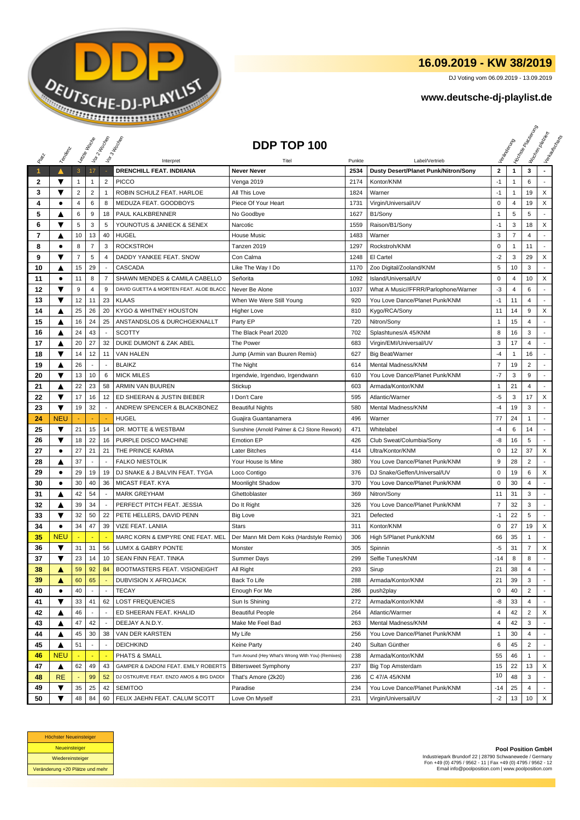

## **16.09.2019 - KW 38/2019**

DJ Voting vom 06.09.2019 - 13.09.2019

## **www.deutsche-dj-playlist.de**

|              |                              |                 | Leizie Hoope             | Voir 2 Moone             | Vor 3 Incolas                                | DDP TOP 100                                       |                |                                                        |                   | Veriandent        | <b>Licitorial Residence</b> | I tochen policien<br>Verkeys Right |
|--------------|------------------------------|-----------------|--------------------------|--------------------------|----------------------------------------------|---------------------------------------------------|----------------|--------------------------------------------------------|-------------------|-------------------|-----------------------------|------------------------------------|
| RIBLE        | Templary                     |                 |                          |                          |                                              |                                                   |                |                                                        |                   |                   |                             |                                    |
| $\mathbf{1}$ |                              |                 | 17                       |                          | Interpret<br><b>DRENCHILL FEAT. INDIIANA</b> | Titel<br><b>Never Never</b>                       | Punkte<br>2534 | Label/Vertrieb<br>Dusty Desert/Planet Punk/Nitron/Sony | $\mathbf{2}$      | $\mathbf{1}$      | 3                           |                                    |
|              | ▼                            | $\mathbf{3}$    | $\mathbf{1}$             | $\overline{2}$           | <b>PICCO</b>                                 |                                                   | 2174           | Kontor/KNM                                             | $-1$              | $\mathbf{1}$      | 6                           |                                    |
| 2<br>3       | ▼                            | 1<br>$\sqrt{2}$ | $\sqrt{2}$               | $\mathbf{1}$             | ROBIN SCHULZ FEAT. HARLOE                    | Venga 2019<br>All This Love                       | 1824           | Warner                                                 | $-1$              | 1                 | 19                          | X                                  |
| 4            | ٠                            | $\sqrt{4}$      | 6                        | 8                        | MEDUZA FEAT. GOODBOYS                        | Piece Of Your Heart                               | 1731           |                                                        | $\pmb{0}$         | $\overline{4}$    | 19                          | X                                  |
| 5            | A                            | 6               | 9                        | 18                       | PAUL KALKBRENNER                             | No Goodbye                                        | 1627           | Virgin/Universal/UV<br>B1/Sony                         | $\mathbf 1$       | 5                 | 5                           |                                    |
| 6            | ▼                            | 5               | 3                        | 5                        | YOUNOTUS & JANIECK & SENEX                   | Narcotic                                          | 1559           | Raison/B1/Sony                                         | $-1$              | 3                 | 18                          | X                                  |
| 7            | ▲                            | 10              | 13                       | 40                       | <b>HUGEL</b>                                 | <b>House Music</b>                                | 1483           | Warner                                                 | 3                 | $\overline{7}$    | $\overline{4}$              |                                    |
| 8            | $\bullet$                    | 8               | $\overline{7}$           | 3                        | <b>ROCKSTROH</b>                             | Tanzen 2019                                       | 1297           | Rockstroh/KNM                                          | $\mathsf 0$       | $\mathbf{1}$      | 11                          | $\blacksquare$                     |
| 9            | ▼                            | $\overline{7}$  | 5                        | $\overline{4}$           | DADDY YANKEE FEAT, SNOW                      | Con Calma                                         | 1248           | El Cartel                                              | $-2$              | 3                 | 29                          | X                                  |
| 10           | ▲                            | 15              | 29                       |                          | CASCADA                                      | Like The Way I Do                                 | 1170           | Zoo Digital/Zooland/KNM                                | 5                 | 10                | 3                           |                                    |
| 11           | ٠                            | 11              | 8                        | $\overline{7}$           | SHAWN MENDES & CAMILA CABELLO                | Señorita                                          | 1092           | Island/Universal/UV                                    | $\mathbf 0$       | 4                 | 10                          | X                                  |
| 12           | ▼                            | 9               | 4                        | 9                        | DAVID GUETTA & MORTEN FEAT. ALOE BLACC       | Never Be Alone                                    | 1037           | What A Music//FFRR/Parlophone/Warner                   | -3                | 4                 | 6                           |                                    |
| 13           | ▼                            | 12              | 11                       | 23                       | <b>KLAAS</b>                                 | When We Were Still Young                          | 920            | You Love Dance/Planet Punk/KNM                         | $-1$              | 11                | 4                           |                                    |
| 14           |                              | 25              | 26                       | 20                       | KYGO & WHITNEY HOUSTON                       |                                                   | 810            |                                                        | 11                | 14                | 9                           | X                                  |
|              | ▲                            |                 | 24                       | 25                       | ANSTANDSLOS & DURCHGEKNALLT                  | <b>Higher Love</b>                                | 720            | Kygo/RCA/Sony                                          |                   | 15                | 4                           |                                    |
| 15<br>16     | ▲                            | 16<br>24        | 43                       |                          | <b>SCOTTY</b>                                | Party EP<br>The Black Pearl 2020                  | 702            | Nitron/Sony<br>Splashtunes/A 45/KNM                    | $\mathbf{1}$<br>8 | 16                | 3                           |                                    |
| 17           | ▲                            | 20              | 27                       | 32                       | DUKE DUMONT & ZAK ABEL                       | The Power                                         | 683            |                                                        | 3                 | 17                | 4                           |                                    |
|              | A<br>$\overline{\textbf{v}}$ | 14              | 12                       | 11                       | <b>VAN HALEN</b>                             |                                                   | 627            | Virgin/EMI/Universal/UV                                | $-4$              |                   | 16                          |                                    |
| 18<br>19     | ▲                            | 26              | $\overline{\phantom{a}}$ | $\overline{\phantom{a}}$ | <b>BLAIKZ</b>                                | Jump (Armin van Buuren Remix)                     | 614            | Big Beat/Warner<br>Mental Madness/KNM                  | $\overline{7}$    | $\mathbf 1$<br>19 | $\overline{2}$              |                                    |
|              | ▼                            | 13              | 10                       | 6                        | <b>MICK MILES</b>                            | The Night                                         | 610            | You Love Dance/Planet Punk/KNM                         | $-7$              | 3                 | 9                           | ÷,                                 |
| 20<br>21     | ▲                            | 22              | 23                       | 58                       | <b>ARMIN VAN BUUREN</b>                      | Irgendwie, Irgendwo, Irgendwann<br>Stickup        | 603            | Armada/Kontor/KNM                                      | $\mathbf{1}$      | 21                | $\overline{4}$              | ٠                                  |
| 22           | $\overline{\textbf{v}}$      | 17              | 16                       | 12                       | ED SHEERAN & JUSTIN BIEBER                   | I Don't Care                                      | 595            | Atlantic/Warner                                        | $-5$              | 3                 | 17                          | X                                  |
| 23           | ▼                            | 19              | 32                       |                          | ANDREW SPENCER & BLACKBONEZ                  | <b>Beautiful Nights</b>                           | 580            | Mental Madness/KNM                                     | $-4$              | 19                | 3                           |                                    |
| 24           | <b>NEU</b>                   |                 |                          |                          | <b>HUGEL</b>                                 | Guajira Guantanamera                              | 496            | Warner                                                 | 77                | 24                | -1                          |                                    |
| 25           | ▼                            | 21              | 15                       | 14                       | DR. MOTTE & WESTBAM                          | Sunshine (Arnold Palmer & CJ Stone Rework)        | 471            | Whitelabel                                             | $-4$              | 6                 | 14                          |                                    |
| 26           | ▼                            | 18              | 22                       | 16                       | PURPLE DISCO MACHINE                         | <b>Emotion EP</b>                                 | 426            | Club Sweat/Columbia/Sony                               | -8                | 16                | 5                           |                                    |
| 27           | ٠                            | 27              | 21                       | 21                       | THE PRINCE KARMA                             | <b>Later Bitches</b>                              | 414            | Ultra/Kontor/KNM                                       | $\mathbf 0$       | 12                | 37                          | X                                  |
| 28           | ▲                            | 37              | $\blacksquare$           |                          | <b>FALKO NIESTOLIK</b>                       | Your House Is Mine                                | 380            | You Love Dance/Planet Punk/KNM                         | 9                 | 28                | $\overline{2}$              |                                    |
| 29           | $\bullet$                    | 29              | 19                       | 19                       | DJ SNAKE & J BALVIN FEAT. TYGA               | Loco Contigo                                      | 376            | DJ Snake/Geffen/Universal/UV                           | $\mathbf 0$       | 19                | 6                           | X                                  |
| 30           | $\bullet$                    | 30              | 40                       | 36                       | MICAST FEAT. KYA                             | Moonlight Shadow                                  | 370            | You Love Dance/Planet Punk/KNM                         | 0                 | 30                | 4                           |                                    |
| 31           | ▲                            | 42              | 54                       | $\sim$                   | <b>MARK GREYHAM</b>                          | Ghettoblaster                                     | 369            | Nitron/Sony                                            | 11                | 31                | 3                           |                                    |
| 32           | ▲                            | 39              | 34                       | $\blacksquare$           | PERFECT PITCH FEAT. JESSIA                   | Do It Right                                       | 326            | You Love Dance/Planet Punk/KNM                         | 7                 | 32                | 3                           |                                    |
| 33           | ▼                            | 32              | 50                       | 22                       | PETE HELLERS, DAVID PENN                     | <b>Big Love</b>                                   | 321            | Defected                                               | $-1$              | 22                | 5                           |                                    |
| 34           | $\bullet$                    | 34              | 47                       | 39                       | VIZE FEAT. LANIIA                            | <b>Stars</b>                                      | 311            | Kontor/KNM                                             | $\mathbf 0$       | 27                | 19                          | X                                  |
| 35           | <b>NEU</b>                   |                 |                          |                          | MARC KORN & EMPYRE ONE FEAT. MEL             | Der Mann Mit Dem Koks (Hardstyle Remix)           | 306            | High 5/Planet Punk/KNM                                 | 66                | 35                | 1                           |                                    |
| 36           | ▼                            | 31              | 31                       | 56                       | <b>LUMIX &amp; GABRY PONTE</b>               | Monster                                           | 305            | Spinnin                                                | $-5$              | 31                | $\overline{7}$              | X                                  |
| 37           | ▼                            | 23              | 14                       | 10                       | SEAN FINN FEAT. TINKA                        | <b>Summer Days</b>                                | 299            | Selfie Tunes/KNM                                       | $-14$             | 8                 | 8                           |                                    |
| 38           | ▲                            | 59              | 92                       | 84                       | BOOTMASTERS FEAT. VISIONEIGHT                | All Right                                         | 293            | Sirup                                                  | 21                | 38                | 4                           |                                    |
| 39           | A                            | 60              | 65                       |                          | DUBVISION X AFROJACK                         | Back To Life                                      | 288            | Armada/Kontor/KNM                                      | 21                | 39                | 3                           |                                    |
| 40           | $\bullet$                    | 40              | $\blacksquare$           | $\sim$                   | <b>TECAY</b>                                 | Enough For Me                                     | 286            | push2play                                              | $\mathsf 0$       | 40                | $\overline{2}$              |                                    |
| 41           | ▼                            | 33              | 41                       | 62                       | <b>LOST FREQUENCIES</b>                      | Sun Is Shining                                    | 272            | Armada/Kontor/KNM                                      | -8                | 33                | 4                           |                                    |
| 42           | ▲                            | 46              | $\overline{\phantom{a}}$ | $\sim$                   | ED SHEERAN FEAT. KHALID                      | <b>Beautiful People</b>                           | 264            | Atlantic/Warmer                                        | 4                 | 42                | 2                           | X                                  |
| 43           | ▲                            | 47              | 42                       |                          | DEEJAY A.N.D.Y.                              | Make Me Feel Bad                                  | 263            | Mental Madness/KNM                                     | 4                 | 42                | 3                           |                                    |
| 44           | ▲                            | 45              | 30                       | 38                       | VAN DER KARSTEN                              | My Life                                           | 256            | You Love Dance/Planet Punk/KNM                         | $\mathbf{1}$      | 30                | 4                           |                                    |
| 45           | ▲                            | 51              |                          | $\overline{\phantom{a}}$ | <b>DEICHKIND</b>                             | Keine Party                                       | 240            | Sultan Günther                                         | 6                 | 45                | $\overline{2}$              |                                    |
| 46           | <b>NEU</b>                   |                 | $\blacksquare$           |                          | PHATS & SMALL                                | Turn Around (Hey What's Wrong With You) (Remixes) | 238            | Armada/Kontor/KNM                                      | 55                | 46                | 1                           |                                    |
| 47           | ▲                            | 62              | 49                       | 43                       | GAMPER & DADONI FEAT. EMILY ROBERTS          | <b>Bittersweet Symphony</b>                       | 237            | <b>Big Top Amsterdam</b>                               | 15                | 22                | 13                          | X                                  |
| 48           | <b>RE</b>                    |                 | 99                       | 52                       | DJ OSTKURVE FEAT. ENZO AMOS & BIG DADDI      | That's Amore (2k20)                               | 236            | C 47/A 45/KNM                                          | 10                | 48                | 3                           |                                    |
| 49           | ▼                            | 35              | 25                       | 42                       | <b>SEMITOO</b>                               | Paradise                                          | 234            | You Love Dance/Planet Punk/KNM                         | $-14$             | 25                | 4                           |                                    |
| 50           | ▼                            | 48              | 84                       | 60                       | FELIX JAEHN FEAT. CALUM SCOTT                | Love On Myself                                    | 231            | Virgin/Universal/UV                                    | -2                | 13                | 10                          | X                                  |
|              |                              |                 |                          |                          |                                              |                                                   |                |                                                        |                   |                   |                             |                                    |



**Pool Position GmbH** Industriepark Brundorf 22 | 28790 Schwanewede / Germany Fon +49 (0) 4795 / 9562 - 11 | Fax +49 (0) 4795 / 9562 - 12 Email info@poolposition.com | www.poolposition.com